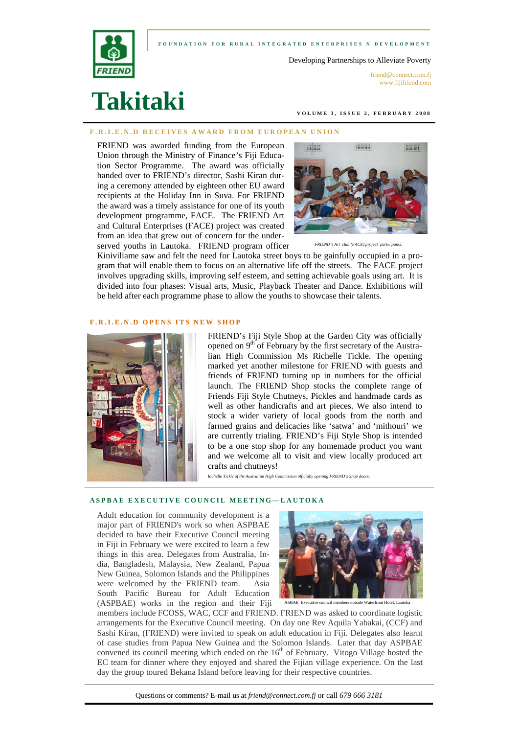#### **FOUNDATION FOR RURAL INTEGRATED ENTERPRISES N DEVELOPMENT**



Developing Partnerships to Alleviate Poverty

friend@connect.com.fi www.fijifriend.com

# **Takitaki**

**VOLUME 3, ISSUE 2, FEBRUARY 2008** 

#### **F.R.I.E.N.D RECEIVES AWARD FROM EUROPEAN UNION**

FRIEND was awarded funding from the European Union through the Ministry of Finance's Fiji Education Sector Programme. The award was officially handed over to FRIEND's director, Sashi Kiran during a ceremony attended by eighteen other EU award recipients at the Holiday Inn in Suva. For FRIEND the award was a timely assistance for one of its youth development programme, FACE. The FRIEND Art and Cultural Enterprises (FACE) project was created from an idea that grew out of concern for the underserved youths in Lautoka. FRIEND program officer



*FRIEND's Art club (FACE) project participants.* 

Kiniviliame saw and felt the need for Lautoka street boys to be gainfully occupied in a program that will enable them to focus on an alternative life off the streets. The FACE project involves upgrading skills, improving self esteem, and setting achievable goals using art. It is divided into four phases: Visual arts, Music, Playback Theater and Dance. Exhibitions will be held after each programme phase to allow the youths to showcase their talents.

#### **F.R.I.E.N.D OPENS ITS NEW SHOP**



FRIEND's Fiji Style Shop at the Garden City was officially opened on 9<sup>th</sup> of February by the first secretary of the Australian High Commission Ms Richelle Tickle. The opening marked yet another milestone for FRIEND with guests and friends of FRIEND turning up in numbers for the official launch. The FRIEND Shop stocks the complete range of Friends Fiji Style Chutneys, Pickles and handmade cards as well as other handicrafts and art pieces. We also intend to stock a wider variety of local goods from the north and farmed grains and delicacies like 'satwa' and 'mithouri' we are currently trialing. FRIEND's Fiji Style Shop is intended to be a one stop shop for any homemade product you want and we welcome all to visit and view locally produced art crafts and chutneys!

*Richelle Tickle of the Australian High Commission officially opening FRIEND's Shop doors.* 

### **ASPBAE EXECUTIVE COUNCIL MEETING—LAUTOKA**

Adult education for community development is a major part of FRIEND's work so when ASPBAE decided to have their Executive Council meeting in Fiji in February we were excited to learn a few things in this area. Delegates from Australia, India, Bangladesh, Malaysia, New Zealand, Papua New Guinea, Solomon Islands and the Philippines were welcomed by the FRIEND team. Asia South Pacific Bureau for Adult Education (ASPBAE) works in the region and their Fiji



ASBAE Executive council members outside Waterfront Hotel, Lautoka

members include FCOSS, WAC, CCF and FRIEND. FRIEND was asked to coordinate logistic arrangements for the Executive Council meeting. On day one Rev Aquila Yabakai, (CCF) and Sashi Kiran, (FRIEND) were invited to speak on adult education in Fiji. Delegates also learnt of case studies from Papua New Guinea and the Solomon Islands. Later that day ASPBAE convened its council meeting which ended on the 16<sup>th</sup> of February. Vitogo Village hosted the EC team for dinner where they enjoyed and shared the Fijian village experience. On the last day the group toured Bekana Island before leaving for their respective countries.